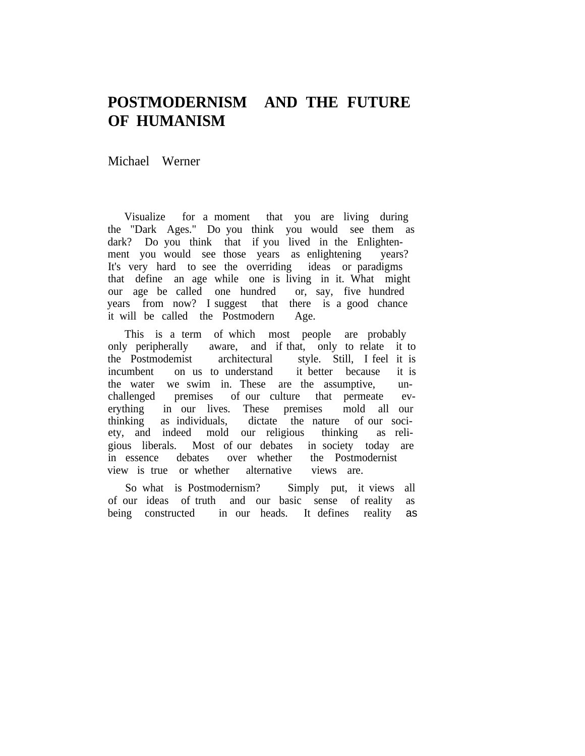## **POSTMODERNISM AND THE FUTURE OF HUMANISM**

Michael Werner

Visualize for a moment that you are living during the "Dark Ages." Do you think you would see them as dark? Do you think that if you lived in the Enlightenment you would see those years as enlightening years? It's very hard to see the overriding ideas or paradigms that define an age while one is living in it. What might our age be called one hundred or, say, five hundred years from now? I suggest that there is a good chance it will be called the Postmodern Age.

This is a term of which most people are probably<br>only peripherally aware, and if that, only to relate it aware, and if that, only to relate it to the Postmodemist architectural style. Still, I feel it is incumbent on us to understand it better because it is the water we swim in. These are the assumptive, unchallenged premises of our culture that permeate everything in our lives. These premises mold all our thinking as individuals, dictate the nature of our society, and indeed mold our religious thinking as religious liberals. Most of our debates in society today are in essence debates over whether the Postmodernist view is true or whether alternative views are.

So what is Postmodernism? Simply put, it views all of our ideas of truth and our basic sense of reality as being constructed in our heads. It defines reality as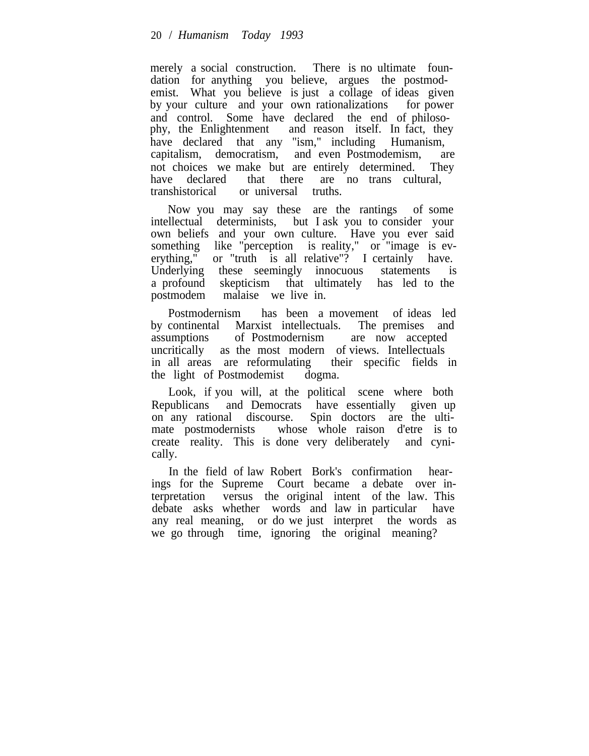merely a social construction. There is no ultimate foundation for anything you believe, argues the postmodemist. What you believe is just a collage of ideas given by your culture and your own rationalizations for power and control. Some have declared the end of philosophy, the Enlightenment and reason itself. In fact, they have declared that any "ism," including Humanism, capitalism, democratism, and even Postmodemism, are not choices we make but are entirely determined. They have declared that there are no trans cultural, transhistorical or universal truths.

Now you may say these are the rantings of some intellectual determinists, but I ask you to consider your own beliefs and your own culture. Have you ever said something like "perception is reality," or "image is everything," or "truth is all relative"? I certainly have. Underlying these seemingly innocuous statements is a profound skepticism that ultimately has led to the postmodem malaise we live in.

Postmodernism has been a movement of ideas led by continental Marxist intellectuals. The premises and assumptions of Postmodernism are now accepted uncritically as the most modern of views. Intellectuals in all areas are reformulating their specific fields in the light of Postmodemist dogma.

Look, if you will, at the political scene where both Republicans and Democrats have essentially given up<br>on any rational discourse. Spin doctors are the ultion any rational discourse. mate postmodernists whose whole raison d'etre is to create reality. This is done very deliberately and cynically.

In the field of law Robert Bork's confirmation hearings for the Supreme Court became a debate over interpretation versus the original intent of the law. This debate asks whether words and law in particular have any real meaning, or do we just interpret the words as we go through time, ignoring the original meaning?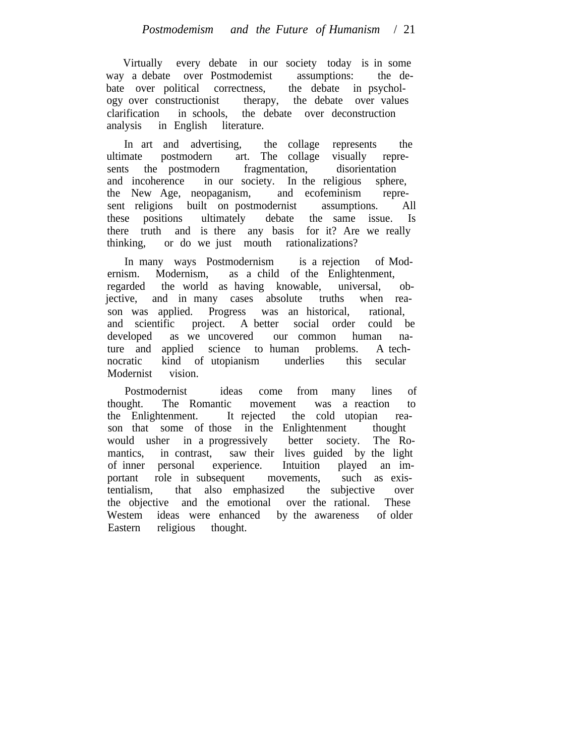Virtually every debate in our society today is in some way a debate over Postmodemist assumptions: the debate over political correctness, the debate in psychology over constructionist therapy, the debate over values clarification in schools, the debate over deconstruction analysis in English literature.

In art and advertising, the collage represents the ultimate postmodern art. The collage visually represents the postmodern fragmentation, disorientation and incoherence in our society. In the religious sphere, the New Age, neopaganism, and ecofeminism represent religions built on postmodernist assumptions. All these positions ultimately debate the same issue. Is there truth and is there any basis for it? Are we really thinking, or do we just mouth rationalizations?

In many ways Postmodernism is a rejection of Modernism. Modernism, as a child of the Enlightenment, regarded the world as having knowable, universal, objective, and in many cases absolute truths when reason was applied. Progress was an historical, rational, and scientific project. A better social order could be developed as we uncovered our common human nature and applied science to human problems. A technocratic kind of utopianism underlies this secular Modernist vision.

Postmodernist ideas come from many lines of thought. The Romantic movement was a reaction to the Enlightenment. It rejected the cold utopian reason that some of those in the Enlightenment thought would usher in a progressively better society. The Romantics, in contrast, saw their lives guided by the light of inner personal experience. Intuition played an important role in subsequent movements, such as existentialism, that also emphasized the subjective over the objective and the emotional over the rational. These Westem ideas were enhanced by the awareness of older Eastern religious thought.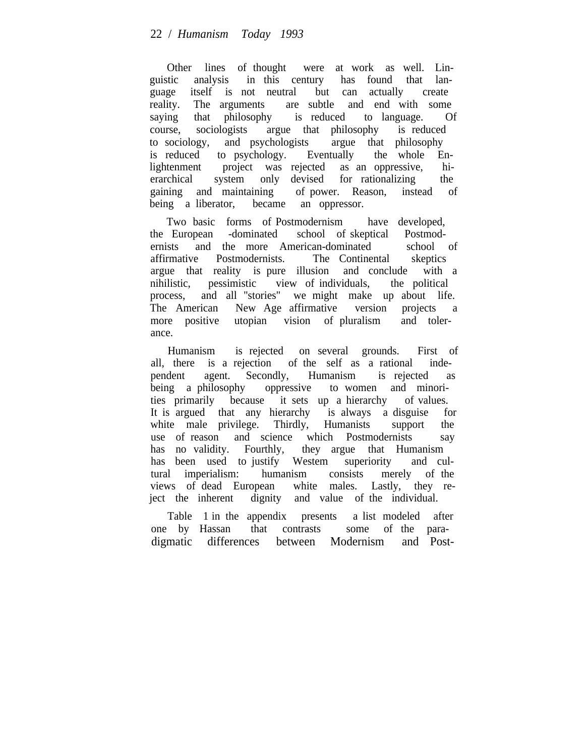Other lines of thought were at work as well. Linguistic analysis in this century has found that language itself is not neutral but can actually create reality. The arguments are subtle and end with some saying that philosophy is reduced to language. Of course, sociologists argue that philosophy is reduced to sociology, and psychologists argue that philosophy is reduced to psychology. Eventually the whole Enlightenment project was rejected as an oppressive, hierarchical system only devised for rationalizing the gaining and maintaining of power. Reason, instead of being a liberator, became an oppressor.

Two basic forms of Postmodernism have developed, the European -dominated school of skeptical Postmodernists and the more American-dominated school of affirmative Postmodernists. The Continental skeptics argue that reality is pure illusion and conclude with a nihilistic, pessimistic view of individuals, the political process, and all "stories" we might make up about life. The American New Age affirmative version projects a more positive utopian vision of pluralism and tolerance.

Humanism is rejected on several grounds. First of all, there is a rejection of the self as a rational independent agent. Secondly, Humanism is rejected as being a philosophy oppressive to women and minorities primarily because it sets up a hierarchy of values. It is argued that any hierarchy is always a disguise for white male privilege. Thirdly, Humanists support the use of reason and science which Postmodernists say has no validity. Fourthly, they argue that Humanism has been used to justify Westem superiority and cultural imperialism: humanism consists merely of the tural imperialism: humanism consists merely of the views of dead European white males. Lastly, they reject the inherent dignity and value of the individual.

Table 1 in the appendix presents a list modeled after one by Hassan that contrasts some of the paradigmatic differences between Modernism and Post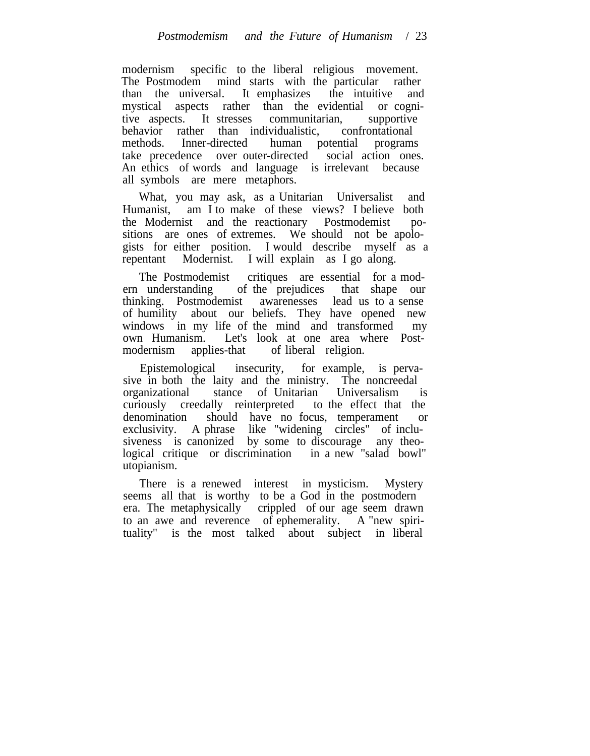modernism specific to the liberal religious movement. The Postmodem mind starts with the particular rather than the universal. It emphasizes the intuitive and mystical aspects rather than the evidential or cognitive aspects. It stresses communitarian, supportive behavior rather than individualistic, confrontational methods. Inner-directed human potential programs take precedence over outer-directed social action ones. An ethics of words and language is irrelevant because all symbols are mere metaphors.

What, you may ask, as a Unitarian Universalist and Humanist, am I to make of these views? I believe both the Modernist and the reactionary Postmodemist positions are ones of extremes. We should not be apologists for either position. I would describe myself as a repentant Modernist. I will explain as I go along.

The Postmodemist critiques are essential for a modern understanding of the prejudices that shape our thinking. Postmodemist awarenesses lead us to a sense of humility about our beliefs. They have opened new windows in my life of the mind and transformed my own Humanism. Let's look at one area where Postmodernism applies-that of liberal religion.

Epistemological insecurity, for example, is pervasive in both the laity and the ministry. The noncreedal organizational stance of Unitarian Universalism is curiously creedally reinterpreted to the effect that the denomination should have no focus, temperament or exclusivity. A phrase like "widening circles" of inclusiveness is canonized by some to discourage any theological critique or discrimination in a new "salad bowl" utopianism.

There is a renewed interest in mysticism. Mystery seems all that is worthy to be a God in the postmodern era. The metaphysically crippled of our age seem drawn to an awe and reverence of ephemerality. A "new spirituality" is the most talked about subject in liberal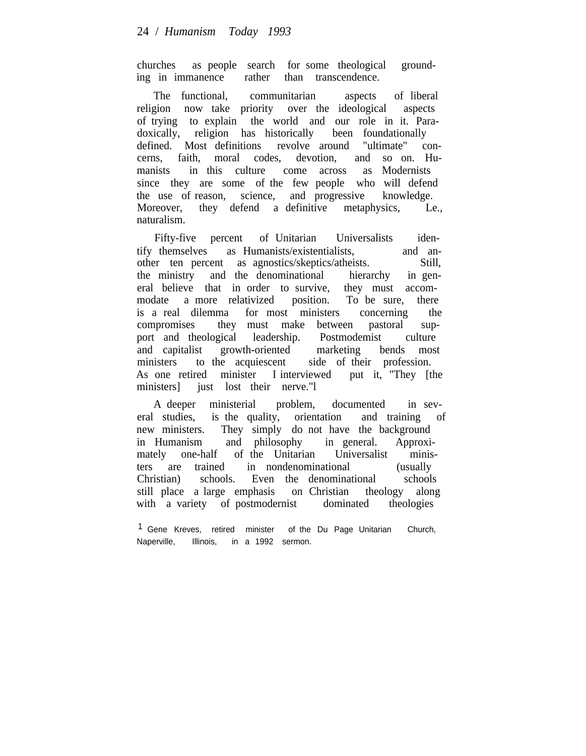churches as people search for some theological grounding in immanence rather than transcendence.

The functional, communitarian aspects of liberal religion now take priority over the ideological aspects of trying to explain the world and our role in it. Paradoxically, religion has historically been foundationally defined. Most definitions revolve around "ultimate" concerns, faith, moral codes, devotion, and so on. Humanists in this culture come across as Modernists since they are some of the few people who will defend the use of reason, science, and progressive knowledge. Moreover, they defend a definitive metaphysics, Le., naturalism.

Fifty-five percent of Unitarian Universalists identify themselves as Humanists/existentialists, and another ten percent as agnostics/skeptics/atheists. Still, the ministry and the denominational hierarchy in general believe that in order to survive, they must accommodate a more relativized position. To be sure, there is a real dilemma for most ministers concerning the compromises they must make between pastoral support and theological leadership. Postmodemist culture and capitalist growth-oriented marketing bends most ministers to the acquiescent side of their profession. As one retired minister I interviewed put it, "They [the ministers iust lost their nerve."

A deeper ministerial problem, documented in several studies, is the quality, orientation and training of new ministers. They simply do not have the background in Humanism and philosophy in general. Approximately one-half of the Unitarian Universalist ministers are trained in nondenominational (usually Christian) schools. Even the denominational schools still place a large emphasis on Christian theology along with a variety of postmodernist dominated theologies

<sup>&</sup>lt;sup>1</sup> Gene Kreves, retired minister of the Du Page Unitarian Church, Naperville, Illinois, in a 1992 sermon.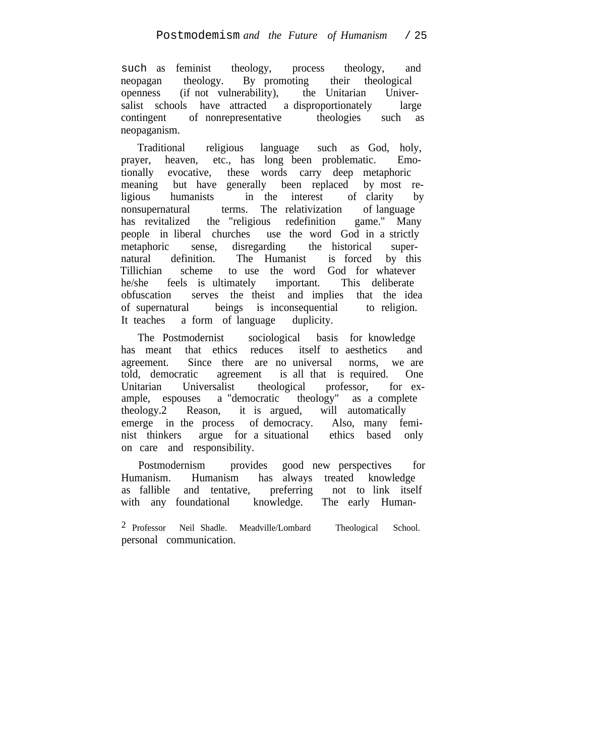such as feminist theology, process theology, and neopagan theology. By promoting their theological openness (if not vulnerability), the Unitarian Universalist schools have attracted a disproportionately large contingent of nonrepresentative theologies such as neopaganism.

Traditional religious language such as God, holy, prayer, heaven, etc., has long been problematic. Emotionally evocative, these words carry deep metaphoric meaning but have generally been replaced by most re-<br>ligious humanists in the interest of clarity by ligious humanists in the interest of clarity by nonsupernatural terms. The relativization of language has revitalized the "religious redefinition game." Many people in liberal churches use the word God in a strictly metaphoric sense, disregarding the historical supernatural definition. The Humanist is forced by this Tillichian scheme to use the word God for whatever he/she feels is ultimately important. This deliberate obfuscation serves the theist and implies that the idea of supernatural beings is inconsequential to religion. It teaches a form of language duplicity.

The Postmodernist sociological basis for knowledge has meant that ethics reduces itself to aesthetics and agreement. Since there are no universal norms, we are told, democratic agreement is all that is required. One Unitarian Universalist theological professor, for example, espouses a "democratic theology" as a complete theology.2 Reason, it is argued, will automatically emerge in the process of democracy. Also, many feminist thinkers argue for a situational ethics based only on care and responsibility.

Postmodernism provides good new perspectives for Humanism. Humanism has always treated knowledge as fallible and tentative, preferring not to link itself with any foundational knowledge. The early Human-

2 Professor Neil Shadle. Meadville/Lombard Theological School. personal communication.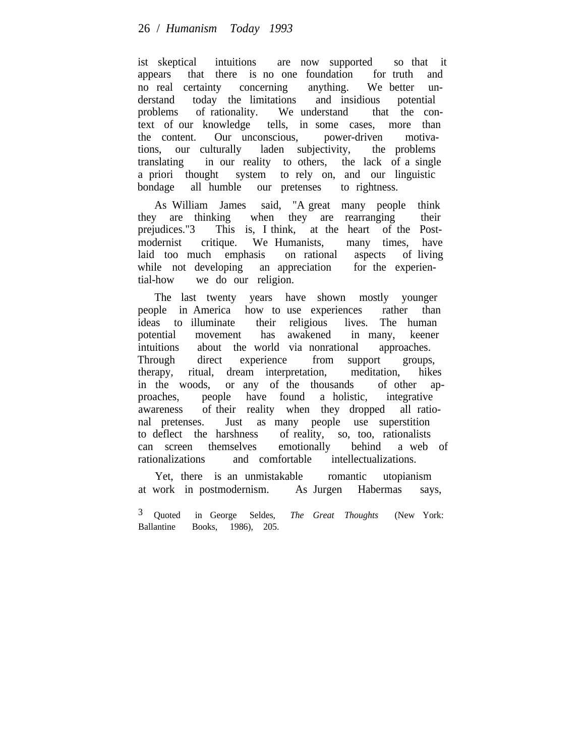ist skeptical intuitions are now supported so that it appears that there is no one foundation for truth and no real certainty concerning anything. We better understand today the limitations and insidious potential problems of rationality. We understand that the context of our knowledge tells, in some cases, more than the content. Our unconscious, power-driven motiva-<br>tions, our culturally laden subjectivity, the problems tions, our culturally laden subjectivity, translating in our reality to others, the lack of a single a priori thought system to rely on, and our linguistic bondage all humble our pretenses to rightness.

As William James said, "A great many people think they are thinking when they are rearranging their prejudices."3 This is, I think, at the heart of the Postmodernist critique. We Humanists, many times, have laid too much emphasis on rational aspects of living while not developing an appreciation for the experiential-how we do our religion.

The last twenty years have shown mostly younger people in America how to use experiences rather than ideas to illuminate their religious lives. The human potential movement has awakened in many, keener intuitions about the world via nonrational approaches. Through direct experience from support groups, therapy, ritual, dream interpretation, meditation, hikes in the woods, or any of the thousands of other approaches, people have found a holistic, integrative awareness of their reality when they dropped all rational pretenses. Just as many people use superstition to deflect the harshness of reality, so, too, rationalists can screen themselves emotionally behind a web of rationalizations and comfortable intellectualizations.

Yet, there is an unmistakable romantic utopianism at work in postmodernism. As Jurgen Habermas says,

<sup>3</sup> Quoted in George Seldes, *The Great Thoughts* (New York: Ballantine Books, 1986), 205.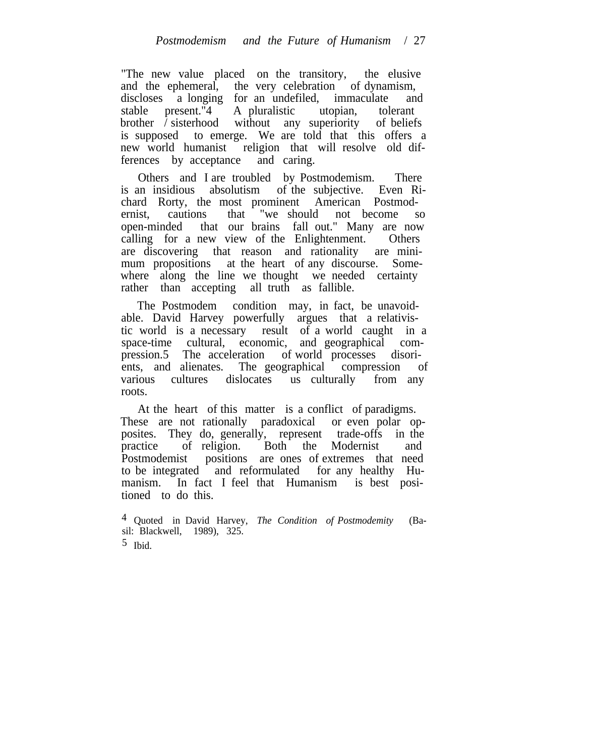"The new value placed on the transitory, the elusive and the ephemeral, the very celebration of dynamism, discloses a longing for an undefiled, immaculate and stable present."4 A pluralistic utopian, tolerant brother / sisterhood without any superiority of beliefs is supposed to emerge. We are told that this offers a new world humanist religion that will resolve old differences by acceptance and caring.

Others and I are troubled by Postmodemism. There is an insidious absolutism of the subjective. Even Richard Rorty, the most prominent American Postmodernist, cautions that "we should not become so open-minded that our brains fall out." Many are now calling for a new view of the Enlightenment. Others are discovering that reason and rationality are minimum propositions at the heart of any discourse. Somewhere along the line we thought we needed certainty rather than accepting all truth as fallible.

The Postmodem condition may, in fact, be unavoidable. David Harvey powerfully argues that a relativistic world is a necessary result of a world caught in a space-time cultural, economic, and geographical compression.5 The acceleration of world processes disorients, and alienates. The geographical compression of The geographical compression of various cultures dislocates us culturally from any roots.

At the heart of this matter is a conflict of paradigms. These are not rationally paradoxical or even polar opposites. They do, generally, represent trade-offs in the practice of religion. Both the Modernist and Postmodemist positions are ones of extremes that need to be integrated and reformulated for any healthy Humanism. In fact I feel that Humanism is best positioned to do this.

4 Quoted in David Harvey, *The Condition of Postmodemity* (Basil: Blackwell, 1989), 325.

 $5$  Ibid.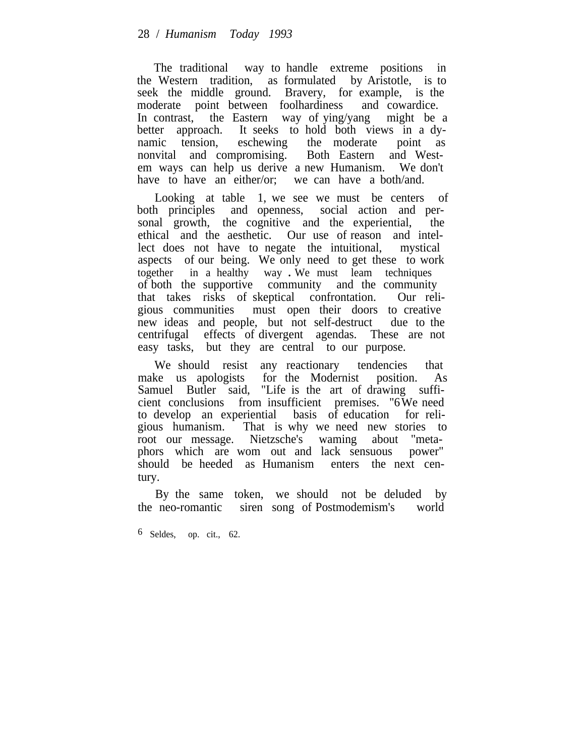The traditional way to handle extreme positions in the Western tradition, as formulated by Aristotle, is to seek the middle ground. Bravery, for example, is the moderate point between foolhardiness and cowardice. In contrast, the Eastern way of ying/yang might be a better approach. It seeks to hold both views in a dynamic tension, eschewing the moderate point as namic tension, eschewing the moderate point as nonvital and compromising. Both Eastern and Westem ways can help us derive a new Humanism. We don't have to have an either/or; we can have a both/and.

Looking at table 1, we see we must be centers of both principles and openness, social action and personal growth, the cognitive and the experiential, the ethical and the aesthetic. Our use of reason and intellect does not have to negate the intuitional, mystical aspects of our being. We only need to get these to work together in a healthy way . We must leam techniques of both the supportive community and the community that takes risks of skeptical confrontation. Our religious communities must open their doors to creative new ideas and people, but not self-destruct due to the centrifugal effects of divergent agendas. These are not easy tasks, but they are central to our purpose.

We should resist any reactionary tendencies that<br>ke us apologists for the Modernist position. As make us apologists for the Modernist position. As Samuel Butler said, "Life is the art of drawing sufficient conclusions from insufficient premises. "6We need to develop an experiential basis of education for religious humanism. That is why we need new stories to root our message. Nietzsche's waming about "metaphors which are wom out and lack sensuous power" should be heeded as Humanism enters the next century.

By the same token, we should not be deluded by the neo-romantic siren song of Postmodemism's world

6 Seldes, op. cit., 62.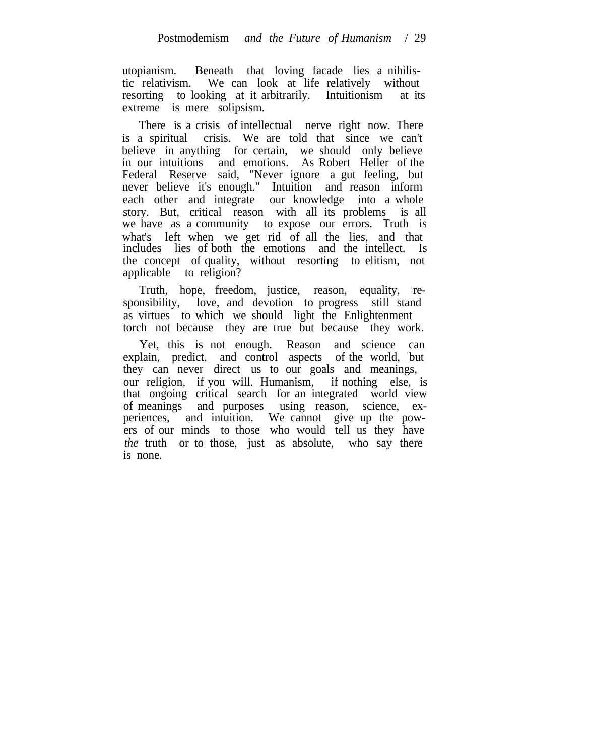utopianism. Beneath that loving facade lies a nihilistic relativism. We can look at life relatively without resorting to looking at it arbitrarily. Intuitionism at its extreme is mere solipsism.

There is a crisis of intellectual nerve right now. There is a spiritual crisis. We are told that since we can't believe in anything for certain, we should only believe in our intuitions and emotions. As Robert Heller of the Federal Reserve said, "Never ignore a gut feeling, but never believe it's enough." Intuition and reason inform each other and integrate our knowledge into a whole story. But, critical reason with all its problems is all we have as a community to expose our errors. Truth is what's left when we get rid of all the lies, and that includes lies of both the emotions and the intellect. Is the concept of quality, without resorting to elitism, not applicable to religion?

Truth, hope, freedom, justice, reason, equality, responsibility, love, and devotion to progress still stand as virtues to which we should light the Enlightenment torch not because they are true but because they work.

Yet, this is not enough. Reason and science can explain, predict, and control aspects of the world, but they can never direct us to our goals and meanings, our religion, if you will. Humanism, if nothing else, is that ongoing critical search for an integrated world view of meanings and purposes using reason, science, experiences, and intuition. We cannot give up the powers of our minds to those who would tell us they have *the* truth or to those, just as absolute, who say there is none.